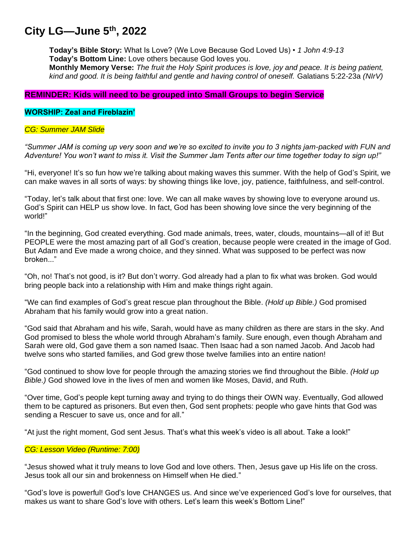# **City LG—June 5 th , 2022**

**Today's Bible Story:** What Is Love? (We Love Because God Loved Us) • *1 John 4:9-13* **Today's Bottom Line:** Love others because God loves you.

**Monthly Memory Verse:** *The fruit the Holy Spirit produces is love, joy and peace. It is being patient, kind and good. It is being faithful and gentle and having control of oneself.* Galatians 5:22-23a *(NIrV)*

# **REMINDER: Kids will need to be grouped into Small Groups to begin Service**

# **WORSHIP: Zeal and Fireblazin'**

## *CG: Summer JAM Slide*

*"Summer JAM is coming up very soon and we're so excited to invite you to 3 nights jam-packed with FUN and Adventure! You won't want to miss it. Visit the Summer Jam Tents after our time together today to sign up!"*

"Hi, everyone! It's so fun how we're talking about making waves this summer. With the help of God's Spirit, we can make waves in all sorts of ways: by showing things like love, joy, patience, faithfulness, and self-control.

"Today, let's talk about that first one: love. We can all make waves by showing love to everyone around us. God's Spirit can HELP us show love. In fact, God has been showing love since the very beginning of the world!"

"In the beginning, God created everything. God made animals, trees, water, clouds, mountains—all of it! But PEOPLE were the most amazing part of all God's creation, because people were created in the image of God. But Adam and Eve made a wrong choice, and they sinned. What was supposed to be perfect was now broken..."

"Oh, no! That's not good, is it? But don't worry. God already had a plan to fix what was broken. God would bring people back into a relationship with Him and make things right again.

"We can find examples of God's great rescue plan throughout the Bible. *(Hold up Bible.)* God promised Abraham that his family would grow into a great nation.

"God said that Abraham and his wife, Sarah, would have as many children as there are stars in the sky. And God promised to bless the whole world through Abraham's family. Sure enough, even though Abraham and Sarah were old, God gave them a son named Isaac. Then Isaac had a son named Jacob. And Jacob had twelve sons who started families, and God grew those twelve families into an entire nation!

"God continued to show love for people through the amazing stories we find throughout the Bible. *(Hold up Bible.)* God showed love in the lives of men and women like Moses, David, and Ruth.

"Over time, God's people kept turning away and trying to do things their OWN way. Eventually, God allowed them to be captured as prisoners. But even then, God sent prophets: people who gave hints that God was sending a Rescuer to save us, once and for all."

"At just the right moment, God sent Jesus. That's what this week's video is all about. Take a look!"

# *CG: Lesson Video (Runtime: 7:00)*

"Jesus showed what it truly means to love God and love others. Then, Jesus gave up His life on the cross. Jesus took all our sin and brokenness on Himself when He died."

"God's love is powerful! God's love CHANGES us. And since we've experienced God's love for ourselves, that makes us want to share God's love with others. Let's learn this week's Bottom Line!"